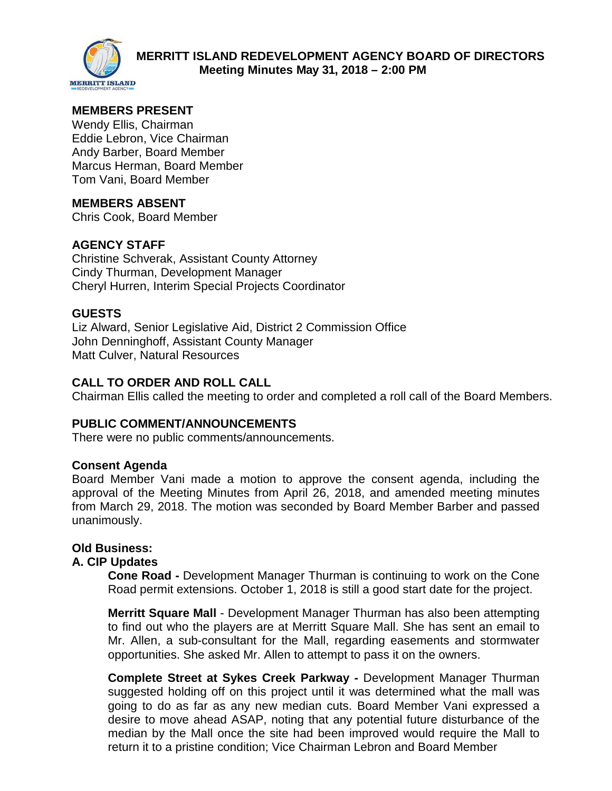

# **MEMBERS PRESENT**

Wendy Ellis, Chairman Eddie Lebron, Vice Chairman Andy Barber, Board Member Marcus Herman, Board Member Tom Vani, Board Member

## **MEMBERS ABSENT**

Chris Cook, Board Member

## **AGENCY STAFF**

Christine Schverak, Assistant County Attorney Cindy Thurman, Development Manager Cheryl Hurren, Interim Special Projects Coordinator

## **GUESTS**

Liz Alward, Senior Legislative Aid, District 2 Commission Office John Denninghoff, Assistant County Manager Matt Culver, Natural Resources

## **CALL TO ORDER AND ROLL CALL**

Chairman Ellis called the meeting to order and completed a roll call of the Board Members.

## **PUBLIC COMMENT/ANNOUNCEMENTS**

There were no public comments/announcements.

#### **Consent Agenda**

Board Member Vani made a motion to approve the consent agenda, including the approval of the Meeting Minutes from April 26, 2018, and amended meeting minutes from March 29, 2018. The motion was seconded by Board Member Barber and passed unanimously.

## **Old Business:**

#### **A. CIP Updates**

**Cone Road -** Development Manager Thurman is continuing to work on the Cone Road permit extensions. October 1, 2018 is still a good start date for the project.

**Merritt Square Mall** - Development Manager Thurman has also been attempting to find out who the players are at Merritt Square Mall. She has sent an email to Mr. Allen, a sub-consultant for the Mall, regarding easements and stormwater opportunities. She asked Mr. Allen to attempt to pass it on the owners.

**Complete Street at Sykes Creek Parkway -** Development Manager Thurman suggested holding off on this project until it was determined what the mall was going to do as far as any new median cuts. Board Member Vani expressed a desire to move ahead ASAP, noting that any potential future disturbance of the median by the Mall once the site had been improved would require the Mall to return it to a pristine condition; Vice Chairman Lebron and Board Member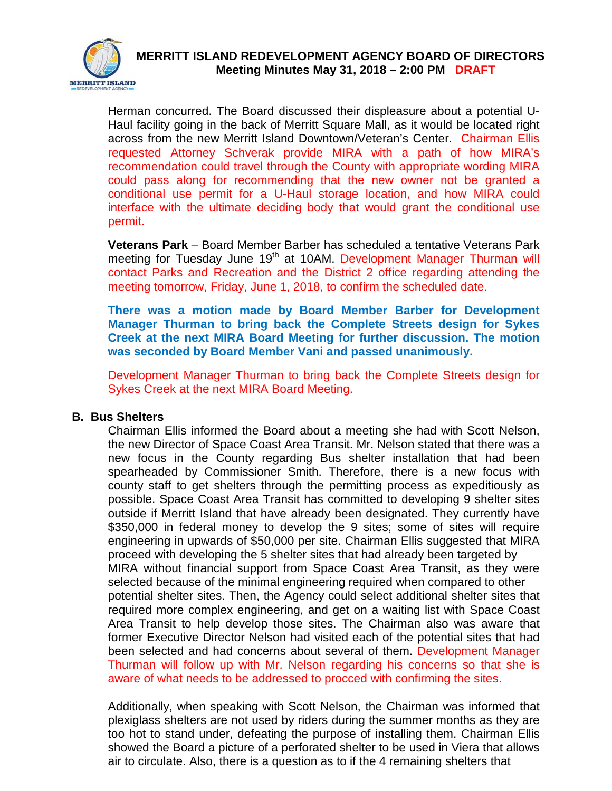

Herman concurred. The Board discussed their displeasure about a potential U-Haul facility going in the back of Merritt Square Mall, as it would be located right across from the new Merritt Island Downtown/Veteran's Center. Chairman Ellis requested Attorney Schverak provide MIRA with a path of how MIRA's recommendation could travel through the County with appropriate wording MIRA could pass along for recommending that the new owner not be granted a conditional use permit for a U-Haul storage location, and how MIRA could interface with the ultimate deciding body that would grant the conditional use permit.

**Veterans Park** – Board Member Barber has scheduled a tentative Veterans Park meeting for Tuesday June 19<sup>th</sup> at 10AM. Development Manager Thurman will contact Parks and Recreation and the District 2 office regarding attending the meeting tomorrow, Friday, June 1, 2018, to confirm the scheduled date.

**There was a motion made by Board Member Barber for Development Manager Thurman to bring back the Complete Streets design for Sykes Creek at the next MIRA Board Meeting for further discussion. The motion was seconded by Board Member Vani and passed unanimously.**

Development Manager Thurman to bring back the Complete Streets design for Sykes Creek at the next MIRA Board Meeting.

#### **B. Bus Shelters**

Chairman Ellis informed the Board about a meeting she had with Scott Nelson, the new Director of Space Coast Area Transit. Mr. Nelson stated that there was a new focus in the County regarding Bus shelter installation that had been spearheaded by Commissioner Smith. Therefore, there is a new focus with county staff to get shelters through the permitting process as expeditiously as possible. Space Coast Area Transit has committed to developing 9 shelter sites outside if Merritt Island that have already been designated. They currently have \$350,000 in federal money to develop the 9 sites; some of sites will require engineering in upwards of \$50,000 per site. Chairman Ellis suggested that MIRA proceed with developing the 5 shelter sites that had already been targeted by MIRA without financial support from Space Coast Area Transit, as they were selected because of the minimal engineering required when compared to other potential shelter sites. Then, the Agency could select additional shelter sites that required more complex engineering, and get on a waiting list with Space Coast Area Transit to help develop those sites. The Chairman also was aware that former Executive Director Nelson had visited each of the potential sites that had been selected and had concerns about several of them. Development Manager Thurman will follow up with Mr. Nelson regarding his concerns so that she is aware of what needs to be addressed to procced with confirming the sites.

Additionally, when speaking with Scott Nelson, the Chairman was informed that plexiglass shelters are not used by riders during the summer months as they are too hot to stand under, defeating the purpose of installing them. Chairman Ellis showed the Board a picture of a perforated shelter to be used in Viera that allows air to circulate. Also, there is a question as to if the 4 remaining shelters that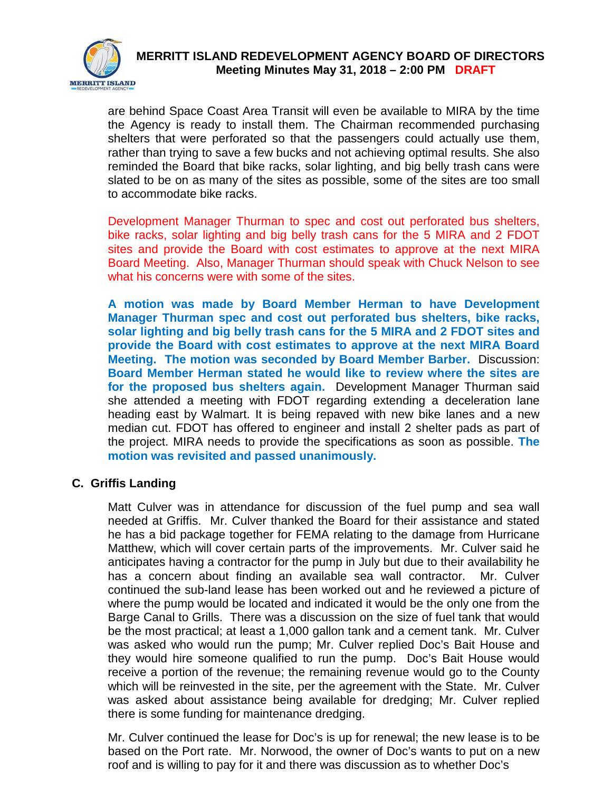

are behind Space Coast Area Transit will even be available to MIRA by the time the Agency is ready to install them. The Chairman recommended purchasing shelters that were perforated so that the passengers could actually use them, rather than trying to save a few bucks and not achieving optimal results. She also reminded the Board that bike racks, solar lighting, and big belly trash cans were slated to be on as many of the sites as possible, some of the sites are too small to accommodate bike racks.

Development Manager Thurman to spec and cost out perforated bus shelters, bike racks, solar lighting and big belly trash cans for the 5 MIRA and 2 FDOT sites and provide the Board with cost estimates to approve at the next MIRA Board Meeting. Also, Manager Thurman should speak with Chuck Nelson to see what his concerns were with some of the sites.

**A motion was made by Board Member Herman to have Development Manager Thurman spec and cost out perforated bus shelters, bike racks, solar lighting and big belly trash cans for the 5 MIRA and 2 FDOT sites and provide the Board with cost estimates to approve at the next MIRA Board Meeting. The motion was seconded by Board Member Barber.** Discussion: **Board Member Herman stated he would like to review where the sites are for the proposed bus shelters again.** Development Manager Thurman said she attended a meeting with FDOT regarding extending a deceleration lane heading east by Walmart. It is being repaved with new bike lanes and a new median cut. FDOT has offered to engineer and install 2 shelter pads as part of the project. MIRA needs to provide the specifications as soon as possible. **The motion was revisited and passed unanimously.** 

## **C. Griffis Landing**

Matt Culver was in attendance for discussion of the fuel pump and sea wall needed at Griffis. Mr. Culver thanked the Board for their assistance and stated he has a bid package together for FEMA relating to the damage from Hurricane Matthew, which will cover certain parts of the improvements. Mr. Culver said he anticipates having a contractor for the pump in July but due to their availability he has a concern about finding an available sea wall contractor. Mr. Culver continued the sub-land lease has been worked out and he reviewed a picture of where the pump would be located and indicated it would be the only one from the Barge Canal to Grills. There was a discussion on the size of fuel tank that would be the most practical; at least a 1,000 gallon tank and a cement tank. Mr. Culver was asked who would run the pump; Mr. Culver replied Doc's Bait House and they would hire someone qualified to run the pump. Doc's Bait House would receive a portion of the revenue; the remaining revenue would go to the County which will be reinvested in the site, per the agreement with the State. Mr. Culver was asked about assistance being available for dredging; Mr. Culver replied there is some funding for maintenance dredging.

Mr. Culver continued the lease for Doc's is up for renewal; the new lease is to be based on the Port rate. Mr. Norwood, the owner of Doc's wants to put on a new roof and is willing to pay for it and there was discussion as to whether Doc's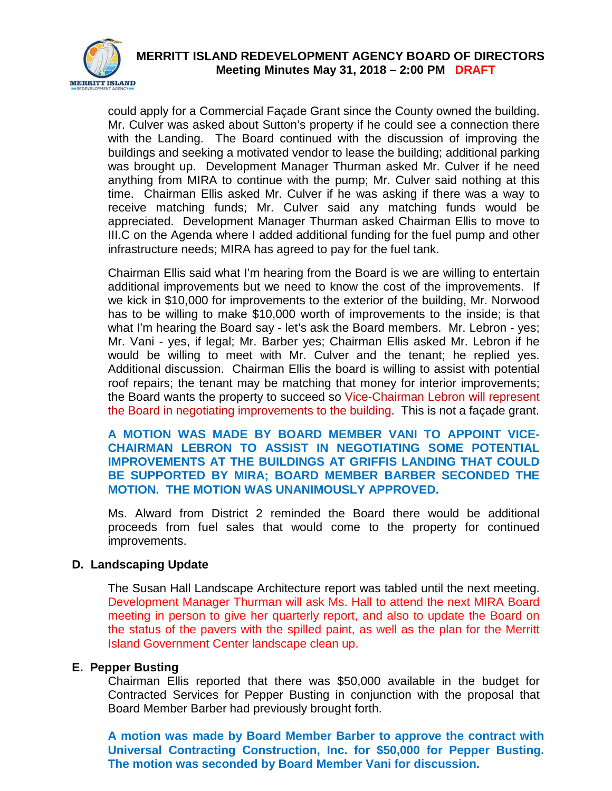

could apply for a Commercial Façade Grant since the County owned the building. Mr. Culver was asked about Sutton's property if he could see a connection there with the Landing. The Board continued with the discussion of improving the buildings and seeking a motivated vendor to lease the building; additional parking was brought up. Development Manager Thurman asked Mr. Culver if he need anything from MIRA to continue with the pump; Mr. Culver said nothing at this time. Chairman Ellis asked Mr. Culver if he was asking if there was a way to receive matching funds; Mr. Culver said any matching funds would be appreciated. Development Manager Thurman asked Chairman Ellis to move to III.C on the Agenda where I added additional funding for the fuel pump and other infrastructure needs; MIRA has agreed to pay for the fuel tank.

Chairman Ellis said what I'm hearing from the Board is we are willing to entertain additional improvements but we need to know the cost of the improvements. If we kick in \$10,000 for improvements to the exterior of the building, Mr. Norwood has to be willing to make \$10,000 worth of improvements to the inside; is that what I'm hearing the Board say - let's ask the Board members. Mr. Lebron - yes; Mr. Vani - yes, if legal; Mr. Barber yes; Chairman Ellis asked Mr. Lebron if he would be willing to meet with Mr. Culver and the tenant; he replied yes. Additional discussion. Chairman Ellis the board is willing to assist with potential roof repairs; the tenant may be matching that money for interior improvements; the Board wants the property to succeed so Vice-Chairman Lebron will represent the Board in negotiating improvements to the building. This is not a façade grant.

**A MOTION WAS MADE BY BOARD MEMBER VANI TO APPOINT VICE-CHAIRMAN LEBRON TO ASSIST IN NEGOTIATING SOME POTENTIAL IMPROVEMENTS AT THE BUILDINGS AT GRIFFIS LANDING THAT COULD BE SUPPORTED BY MIRA; BOARD MEMBER BARBER SECONDED THE MOTION. THE MOTION WAS UNANIMOUSLY APPROVED.**

Ms. Alward from District 2 reminded the Board there would be additional proceeds from fuel sales that would come to the property for continued improvements.

## **D. Landscaping Update**

The Susan Hall Landscape Architecture report was tabled until the next meeting. Development Manager Thurman will ask Ms. Hall to attend the next MIRA Board meeting in person to give her quarterly report, and also to update the Board on the status of the pavers with the spilled paint, as well as the plan for the Merritt Island Government Center landscape clean up.

## **E. Pepper Busting**

Chairman Ellis reported that there was \$50,000 available in the budget for Contracted Services for Pepper Busting in conjunction with the proposal that Board Member Barber had previously brought forth.

**A motion was made by Board Member Barber to approve the contract with Universal Contracting Construction, Inc. for \$50,000 for Pepper Busting. The motion was seconded by Board Member Vani for discussion.**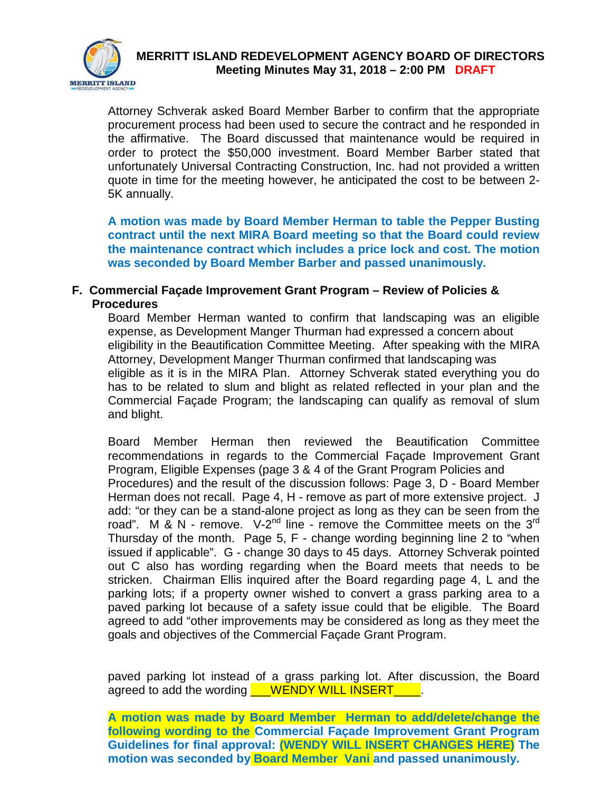

Attorney Schverak asked Board Member Barber to confirm that the appropriate procurement process had been used to secure the contract and he responded in the affirmative. The Board discussed that maintenance would be required in order to protect the \$50,000 investment. Board Member Barber stated that unfortunately Universal Contracting Construction, Inc. had not provided a written quote in time for the meeting however, he anticipated the cost to be between 2- 5K annually.

**A motion was made by Board Member Herman to table the Pepper Busting contract until the next MIRA Board meeting so that the Board could review the maintenance contract which includes a price lock and cost. The motion was seconded by Board Member Barber and passed unanimously.** 

## **F. Commercial Façade Improvement Grant Program – Review of Policies & Procedures**

Board Member Herman wanted to confirm that landscaping was an eligible expense, as Development Manger Thurman had expressed a concern about eligibility in the Beautification Committee Meeting. After speaking with the MIRA Attorney, Development Manger Thurman confirmed that landscaping was eligible as it is in the MIRA Plan. Attorney Schverak stated everything you do has to be related to slum and blight as related reflected in your plan and the Commercial Façade Program; the landscaping can qualify as removal of slum and blight.

Board Member Herman then reviewed the Beautification Committee recommendations in regards to the Commercial Façade Improvement Grant Program, Eligible Expenses (page 3 & 4 of the Grant Program Policies and Procedures) and the result of the discussion follows: Page 3, D - Board Member Herman does not recall. Page 4, H - remove as part of more extensive project. J add: "or they can be a stand-alone project as long as they can be seen from the road". M  $\& N$  - remove. V-2<sup>nd</sup> line - remove the Committee meets on the 3<sup>rd</sup> Thursday of the month. Page 5, F - change wording beginning line 2 to "when issued if applicable". G - change 30 days to 45 days. Attorney Schverak pointed out C also has wording regarding when the Board meets that needs to be stricken. Chairman Ellis inquired after the Board regarding page 4, L and the parking lots; if a property owner wished to convert a grass parking area to a paved parking lot because of a safety issue could that be eligible. The Board agreed to add "other improvements may be considered as long as they meet the goals and objectives of the Commercial Façade Grant Program.

paved parking lot instead of a grass parking lot. After discussion, the Board agreed to add the wording WENDY WILL INSERT N.

**A motion was made by Board Member Herman to add/delete/change the following wording to the Commercial Façade Improvement Grant Program Guidelines for final approval: (WENDY WILL INSERT CHANGES HERE) The motion was seconded by Board Member Vani and passed unanimously.**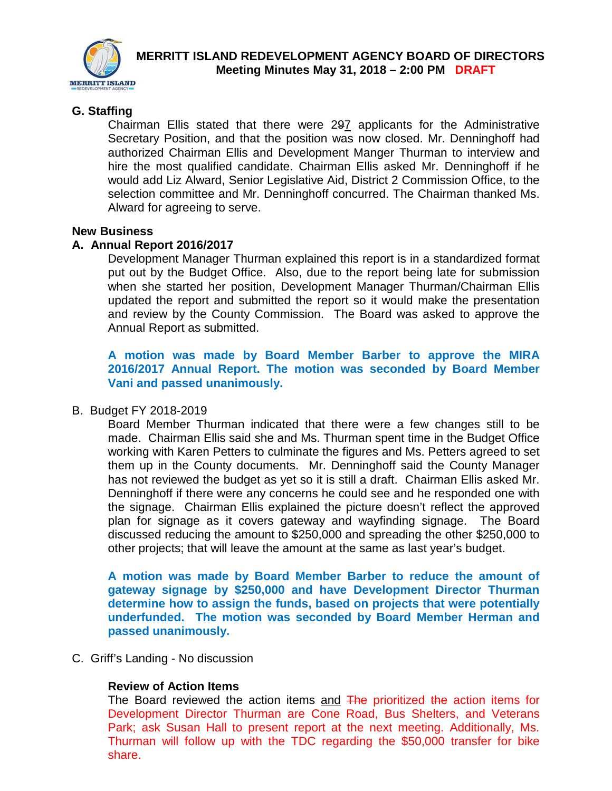

## **G. Staffing**

Chairman Ellis stated that there were 297 applicants for the Administrative Secretary Position, and that the position was now closed. Mr. Denninghoff had authorized Chairman Ellis and Development Manger Thurman to interview and hire the most qualified candidate. Chairman Ellis asked Mr. Denninghoff if he would add Liz Alward, Senior Legislative Aid, District 2 Commission Office, to the selection committee and Mr. Denninghoff concurred. The Chairman thanked Ms. Alward for agreeing to serve.

#### **New Business**

#### **A. Annual Report 2016/2017**

Development Manager Thurman explained this report is in a standardized format put out by the Budget Office. Also, due to the report being late for submission when she started her position, Development Manager Thurman/Chairman Ellis updated the report and submitted the report so it would make the presentation and review by the County Commission. The Board was asked to approve the Annual Report as submitted.

**A motion was made by Board Member Barber to approve the MIRA 2016/2017 Annual Report. The motion was seconded by Board Member Vani and passed unanimously.**

#### B. Budget FY 2018-2019

Board Member Thurman indicated that there were a few changes still to be made. Chairman Ellis said she and Ms. Thurman spent time in the Budget Office working with Karen Petters to culminate the figures and Ms. Petters agreed to set them up in the County documents. Mr. Denninghoff said the County Manager has not reviewed the budget as yet so it is still a draft. Chairman Ellis asked Mr. Denninghoff if there were any concerns he could see and he responded one with the signage. Chairman Ellis explained the picture doesn't reflect the approved plan for signage as it covers gateway and wayfinding signage. The Board discussed reducing the amount to \$250,000 and spreading the other \$250,000 to other projects; that will leave the amount at the same as last year's budget.

**A motion was made by Board Member Barber to reduce the amount of gateway signage by \$250,000 and have Development Director Thurman determine how to assign the funds, based on projects that were potentially underfunded. The motion was seconded by Board Member Herman and passed unanimously.**

C. Griff's Landing - No discussion

## **Review of Action Items**

The Board reviewed the action items and The prioritized the action items for Development Director Thurman are Cone Road, Bus Shelters, and Veterans Park; ask Susan Hall to present report at the next meeting. Additionally, Ms. Thurman will follow up with the TDC regarding the \$50,000 transfer for bike share.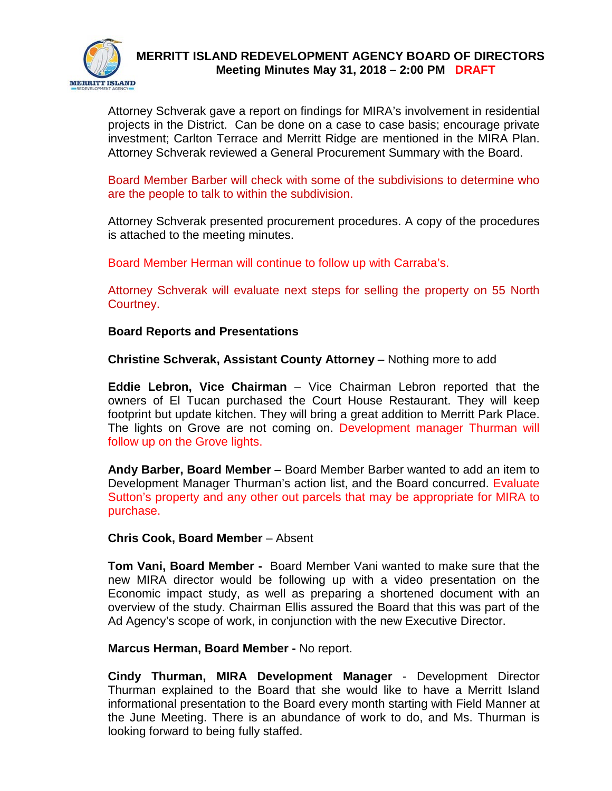

Attorney Schverak gave a report on findings for MIRA's involvement in residential projects in the District. Can be done on a case to case basis; encourage private investment; Carlton Terrace and Merritt Ridge are mentioned in the MIRA Plan. Attorney Schverak reviewed a General Procurement Summary with the Board.

Board Member Barber will check with some of the subdivisions to determine who are the people to talk to within the subdivision.

Attorney Schverak presented procurement procedures. A copy of the procedures is attached to the meeting minutes.

Board Member Herman will continue to follow up with Carraba's.

Attorney Schverak will evaluate next steps for selling the property on 55 North Courtney.

**Board Reports and Presentations**

**Christine Schverak, Assistant County Attorney** – Nothing more to add

**Eddie Lebron, Vice Chairman** – Vice Chairman Lebron reported that the owners of El Tucan purchased the Court House Restaurant. They will keep footprint but update kitchen. They will bring a great addition to Merritt Park Place. The lights on Grove are not coming on. Development manager Thurman will follow up on the Grove lights.

**Andy Barber, Board Member** – Board Member Barber wanted to add an item to Development Manager Thurman's action list, and the Board concurred. Evaluate Sutton's property and any other out parcels that may be appropriate for MIRA to purchase.

#### **Chris Cook, Board Member** – Absent

**Tom Vani, Board Member -** Board Member Vani wanted to make sure that the new MIRA director would be following up with a video presentation on the Economic impact study, as well as preparing a shortened document with an overview of the study. Chairman Ellis assured the Board that this was part of the Ad Agency's scope of work, in conjunction with the new Executive Director.

#### **Marcus Herman, Board Member -** No report.

**Cindy Thurman, MIRA Development Manager** - Development Director Thurman explained to the Board that she would like to have a Merritt Island informational presentation to the Board every month starting with Field Manner at the June Meeting. There is an abundance of work to do, and Ms. Thurman is looking forward to being fully staffed.